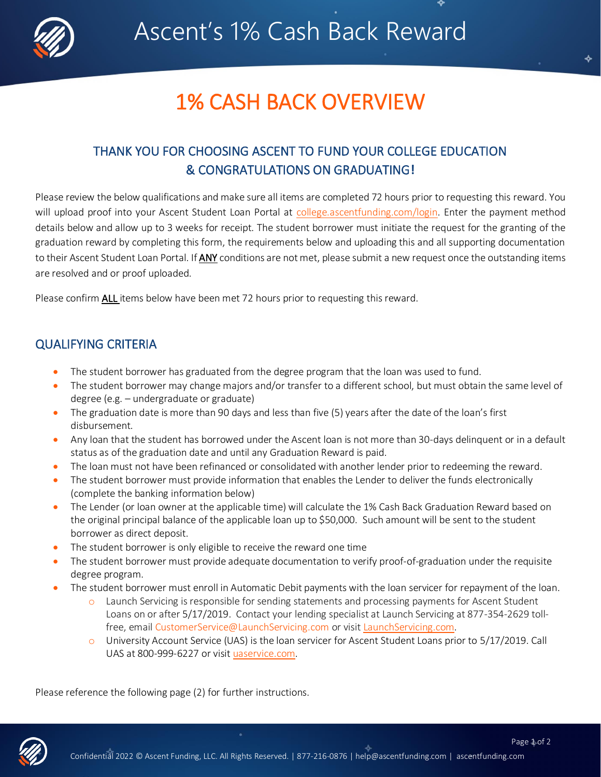

## 1% CASH BACK OVERVIEW

### THANK YOU FOR CHOOSING ASCENT TO FUND YOUR COLLEGE EDUCATION & CONGRATULATIONS ON GRADUATING**!**

Please review the below qualifications and make sure all items are completed 72 hours prior to requesting this reward. You will upload proof into your Ascent Student Loan Portal at [college.ascentfunding.com/login.](https://college.ascentfunding.com/login) Enter the payment method details below and allow up to 3 weeks for receipt. The student borrower must initiate the request for the granting of the graduation reward by completing this form, the requirements below and uploading this and all supporting documentation to their Ascent Student Loan Portal. If ANY conditions are not met, please submit a new request once the outstanding items are resolved and or proof uploaded.

Please confirm ALL items below have been met 72 hours prior to requesting this reward.

### QUALIFYING CRITERIA

- The student borrower has graduated from the degree program that the loan was used to fund.
- The student borrower may change majors and/or transfer to a different school, but must obtain the same level of degree (e.g. – undergraduate or graduate)
- The graduation date is more than 90 days and less than five (5) years after the date of the loan's first disbursement.
- Any loan that the student has borrowed under the Ascent loan is not more than 30-days delinquent or in a default status as of the graduation date and until any Graduation Reward is paid.
- The loan must not have been refinanced or consolidated with another lender prior to redeeming the reward.
- The student borrower must provide information that enables the Lender to deliver the funds electronically (complete the banking information below)
- The Lender (or loan owner at the applicable time) will calculate the 1% Cash Back Graduation Reward based on the original principal balance of the applicable loan up to \$50,000. Such amount will be sent to the student borrower as direct deposit.
- The student borrower is only eligible to receive the reward one time
- The student borrower must provide adequate documentation to verify proof-of-graduation under the requisite degree program.
- The student borrower must enroll in Automatic Debit payments with the loan servicer for repayment of the loan.
	- $\circ$  Launch Servicing is responsible for sending statements and processing payments for Ascent Student Loans on or after 5/17/2019. Contact your lending specialist at Launch Servicing at 877-354-2629 toll-free, email [CustomerService@LaunchServicing.com](mailto:CustomerService@LaunchServicing.com) or visi[t LaunchServicing.com.](https://www.launchservicing.com/)
	- $\circ$  University Account Service (UAS) is the loan servicer for Ascent Student Loans prior to 5/17/2019. Call UAS at 800-999-6227 or visit [uaservice.com.](https://www.uaservice.com/)

Please reference the following page (2) for further instructions.



Page 1 of 2